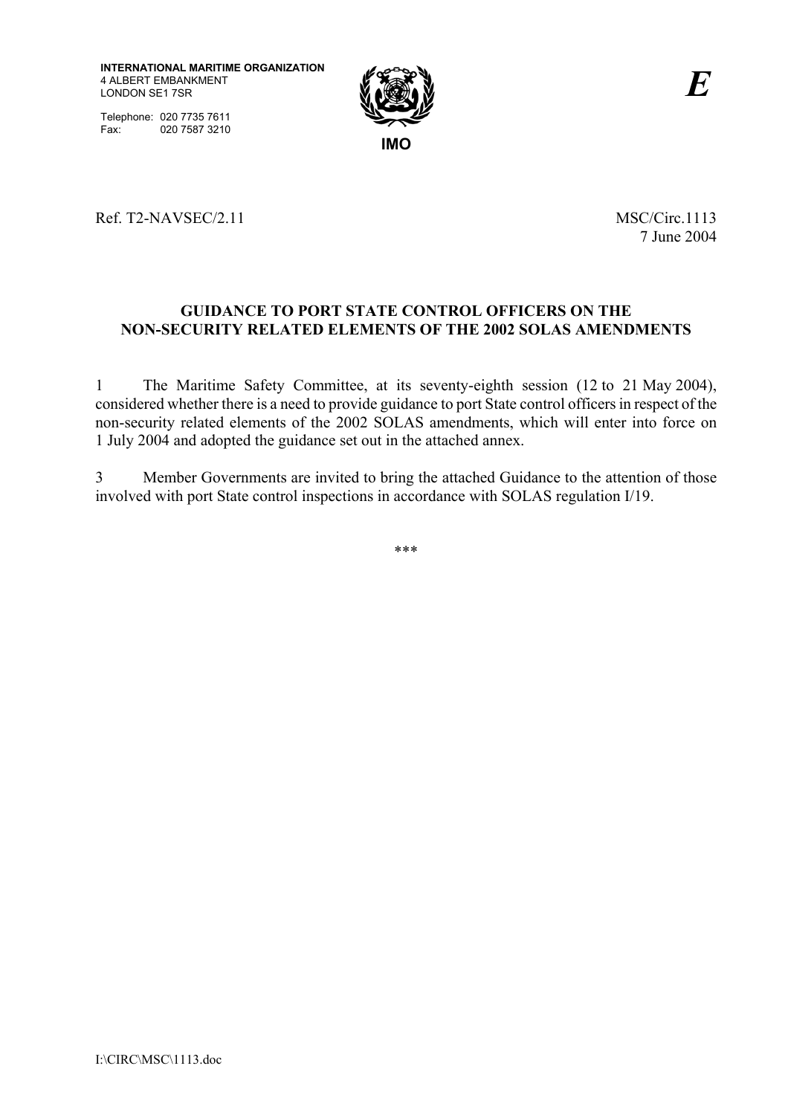

Telephone: 020 7735 7611 Fax: 020 7587 3210

# Ref. T2-NAVSEC/2.11 MSC/Circ.1113

7 June 2004

## **GUIDANCE TO PORT STATE CONTROL OFFICERS ON THE NON-SECURITY RELATED ELEMENTS OF THE 2002 SOLAS AMENDMENTS**

1 The Maritime Safety Committee, at its seventy-eighth session (12 to 21 May 2004), considered whether there is a need to provide guidance to port State control officers in respect of the non-security related elements of the 2002 SOLAS amendments, which will enter into force on 1 July 2004 and adopted the guidance set out in the attached annex.

3 Member Governments are invited to bring the attached Guidance to the attention of those involved with port State control inspections in accordance with SOLAS regulation I/19.

\*\*\*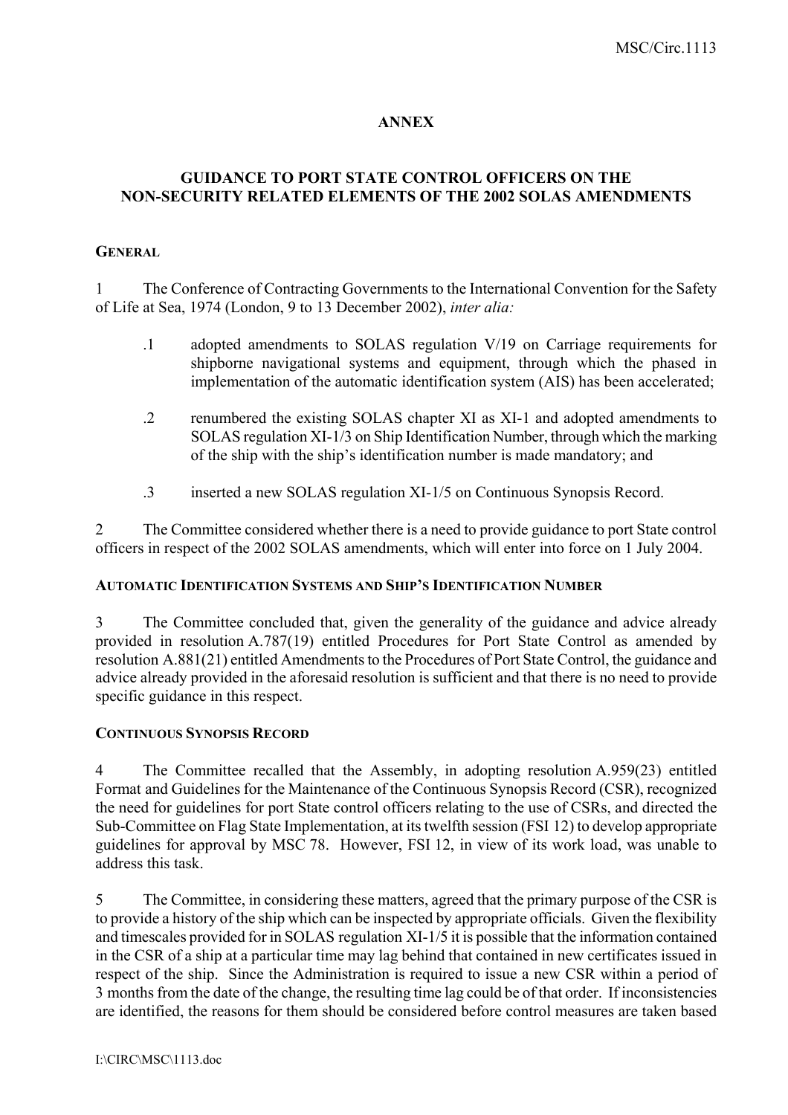# **ANNEX**

## **GUIDANCE TO PORT STATE CONTROL OFFICERS ON THE NON-SECURITY RELATED ELEMENTS OF THE 2002 SOLAS AMENDMENTS**

### **GENERAL**

1 The Conference of Contracting Governments to the International Convention for the Safety of Life at Sea, 1974 (London, 9 to 13 December 2002), *inter alia:*

- .1 adopted amendments to SOLAS regulation V/19 on Carriage requirements for shipborne navigational systems and equipment, through which the phased in implementation of the automatic identification system (AIS) has been accelerated;
- .2 renumbered the existing SOLAS chapter XI as XI-1 and adopted amendments to SOLAS regulation XI-1/3 on Ship Identification Number, through which the marking of the ship with the ship's identification number is made mandatory; and
- .3 inserted a new SOLAS regulation XI-1/5 on Continuous Synopsis Record.

2 The Committee considered whether there is a need to provide guidance to port State control officers in respect of the 2002 SOLAS amendments, which will enter into force on 1 July 2004.

#### **AUTOMATIC IDENTIFICATION SYSTEMS AND SHIP'S IDENTIFICATION NUMBER**

3 The Committee concluded that, given the generality of the guidance and advice already provided in resolution A.787(19) entitled Procedures for Port State Control as amended by resolution A.881(21) entitled Amendments to the Procedures of Port State Control, the guidance and advice already provided in the aforesaid resolution is sufficient and that there is no need to provide specific guidance in this respect.

#### **CONTINUOUS SYNOPSIS RECORD**

4 The Committee recalled that the Assembly, in adopting resolution A.959(23) entitled Format and Guidelines for the Maintenance of the Continuous Synopsis Record (CSR), recognized the need for guidelines for port State control officers relating to the use of CSRs, and directed the Sub-Committee on Flag State Implementation, at its twelfth session (FSI 12) to develop appropriate guidelines for approval by MSC 78. However, FSI 12, in view of its work load, was unable to address this task.

5 The Committee, in considering these matters, agreed that the primary purpose of the CSR is to provide a history of the ship which can be inspected by appropriate officials. Given the flexibility and timescales provided for in SOLAS regulation XI-1/5 it is possible that the information contained in the CSR of a ship at a particular time may lag behind that contained in new certificates issued in respect of the ship. Since the Administration is required to issue a new CSR within a period of 3 months from the date of the change, the resulting time lag could be of that order. If inconsistencies are identified, the reasons for them should be considered before control measures are taken based